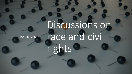# June 10, 2020

Discussions on race and civil rights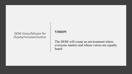#### DOM Vision/Mission for /Equity/Inclusion/Justice

#### **VISION**

The DOM will create an environment where everyone matters and whose voices are equally heard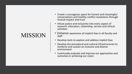#### MISSION

- Create a courageous space for honest and meaningful conversations and healthy conflict resolutions through mutual respect and trust
- Infuse justice and inclusivity into every aspect of research, education, citizenship, service and clinical activities
- Enhance awareness of implicit bias in all faculty and staff
- Develop tools to explore and address implicit bias
- Develop the procedural and cultural infrastructures to reinforce and sustain an inclusive and diverse environment
- Continually evaluate and improve our approaches and outcomes in achieving our vision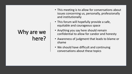## Why are we here?

- This meeting is to allow for conversations about issues concerning us, personally, professionally and institutionally
- This forum will hopefully provide a safe, equitable and courageous space
- Anything you say here should remain confidential to allow for candor and honesty
- Awareness of judgment that leads to blame or shame
- We should have difficult and continuing conversations about these topics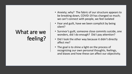## What are we feeling?

- Anxiety; why? The fabric of our structure appears to be breaking down, COVID-19 has changed so much; we can't connect with people, we feel isolated
- Fear and guilt, have we been complicit by being silent?
- Survivor's guilt, someone close commits suicide, one wonders, did I do enough? Did I pay attention?
- Did I look the other way because it didn't directly affect me?
- The goal is to shine a light on the process of recognizing our own personal thoughts, feelings, and biases and how these can affect our objectivity.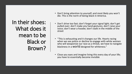In their shoes: What does it mean to be Black or Brown?

- Don't bring attention to yourself, and most likely you won't die. This is the norm of being black in America.
- Don't drive too fast; don't forget your signal light; don't get pulled over; don't make any hand gestures; don't raise your voice; don't wear a hoodie; don't walk in the middle of the street
- "This is exhausting and it changes our life. Hearts racing when we see police or decline to engage with white women who will weaponize our race as a threat, we have to navigate blackness in a world designed for whiteness."
- Close you eyes and imagine living this every day of your life; you have to essentially become invisible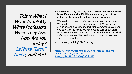This Is What I Want To Tell My White Professors When They Ask, 'How Are You Today? LaShyra "Lash" [Nolen, Huff Post](https://www.huffpost.com/author/lashyra-lash-nolen)

- **I had come to my breaking point: I knew that my Blackness is my lifeline and that if I didn't allow every part of me to enter the classroom, I wouldn't be able to survive**
- We need you to see us. We need you to see our Blackness. We need you to help us fight to protect it. We need you to see us beyond diversity and inclusion committees. We need you to watch the news. We need you to care about Black news. We need you to be just as outraged by disparate Black suffering as we are. We need you to cry with us. We need you to care about us.
- "How are you doing?" isn't enough.

*[https://www.huffpost.com/entry/black-medical-student](https://www.huffpost.com/entry/black-medical-student-wants-white-professors-to-know_n_5ed91238c5b6e0feefc26315)wants-white-professors-to know\_n\_5ed91238c5b6e0feefc26315*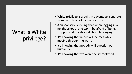## What is White privilege?

- White privilege is a built-in advantage, separate from one's level of income or effort.
- A subconscious feeling that when jogging in a neighborhood, one won't be afraid of being stopped and questioned about belonging
- It's knowing that needs will be met while moving through the world
- It's knowing that nobody will question our humanity
- It's knowing that we won't be stereotyped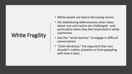### White Fragility

- White people are bad at discussing racism.
- the disbelieving defensiveness when ideas about race and racism are challenged—and particularly when they feel implicated in white supremacy.
- lack the "racial stamina" to engage in difficult conversations
- "Color blindness," the argument that race shouldn't matter, prevents us from grappling with how it does.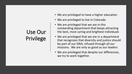## Use Our Privilege

- We are privileged to have a higher education
- We are privileged to live in Colorado
- We are privileged that we are in this outstanding department that keeps attracting the best, most caring and brightest individuals
- We are privileged that we are in a department that recognizes that diversity and justice should be part of our DNA, infused through all our missions. We are only as good as our leaders
- We are privileged that despite our differences, we try to work together.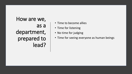How are we, as a department, prepared to lead?

- Time to become allies
- Time for listening
- No time for judging
- Time for seeing everyone as human beings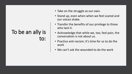#### To be an ally is to:

- Take on the struggle as our own.
- Stand up, even when when we feel scared and our voices shake.
- Transfer the benefits of our privilege to those who lack it.
- Acknowledge that while we, too, feel pain, the conversation is not about us.
- Practice anti-racism; it's time for us to do the work
- We can't ask the wounded to do the work